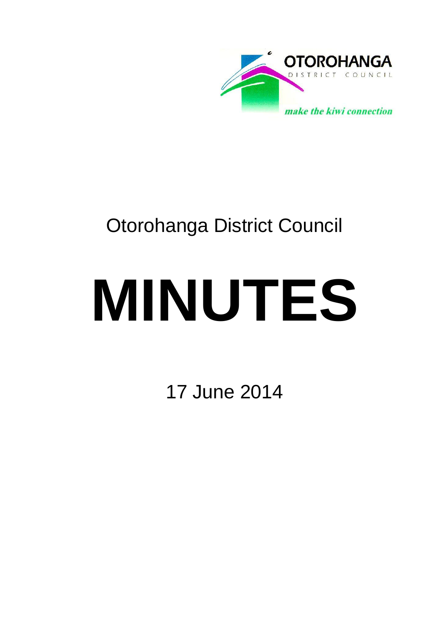

# Otorohanga District Council

# **MINUTES**

17 June 2014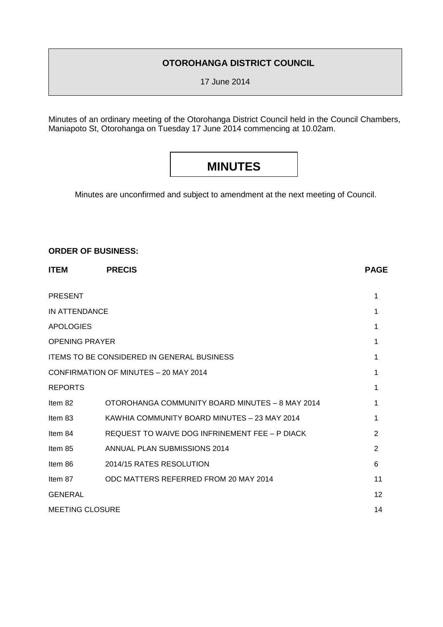### **OTOROHANGA DISTRICT COUNCIL**

17 June 2014

Minutes of an ordinary meeting of the Otorohanga District Council held in the Council Chambers, Maniapoto St, Otorohanga on Tuesday 17 June 2014 commencing at 10.02am.

# **MINUTES**

Minutes are unconfirmed and subject to amendment at the next meeting of Council.

#### **ORDER OF BUSINESS:**

| <b>ITEM</b>            | <b>PRECIS</b>                                     | <b>PAGE</b> |
|------------------------|---------------------------------------------------|-------------|
| <b>PRESENT</b>         |                                                   | 1           |
| <b>IN ATTENDANCE</b>   |                                                   | 1           |
| <b>APOLOGIES</b>       |                                                   |             |
| <b>OPENING PRAYER</b>  |                                                   | 1           |
|                        | <b>ITEMS TO BE CONSIDERED IN GENERAL BUSINESS</b> | 1           |
|                        | CONFIRMATION OF MINUTES - 20 MAY 2014             | 1           |
| <b>REPORTS</b>         |                                                   | 1           |
| Item 82                | OTOROHANGA COMMUNITY BOARD MINUTES - 8 MAY 2014   | 1           |
| Item 83                | KAWHIA COMMUNITY BOARD MINUTES - 23 MAY 2014      | 1           |
| Item 84                | REQUEST TO WAIVE DOG INFRINEMENT FEE - P DIACK    | 2           |
| Item 85                | ANNUAL PLAN SUBMISSIONS 2014                      | 2           |
| Item 86                | 2014/15 RATES RESOLUTION                          | 6           |
| Item 87                | ODC MATTERS REFERRED FROM 20 MAY 2014             | 11          |
| <b>GENERAL</b>         |                                                   | 12          |
| <b>MEETING CLOSURE</b> |                                                   | 14          |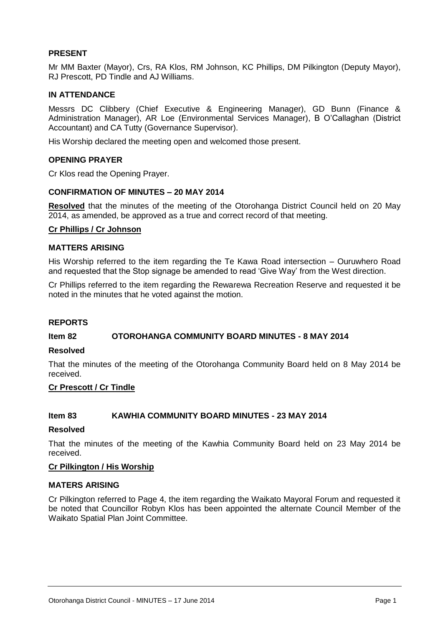#### **PRESENT**

Mr MM Baxter (Mayor), Crs, RA Klos, RM Johnson, KC Phillips, DM Pilkington (Deputy Mayor), RJ Prescott, PD Tindle and AJ Williams.

#### **IN ATTENDANCE**

Messrs DC Clibbery (Chief Executive & Engineering Manager), GD Bunn (Finance & Administration Manager), AR Loe (Environmental Services Manager), B O'Callaghan (District Accountant) and CA Tutty (Governance Supervisor).

His Worship declared the meeting open and welcomed those present.

#### **OPENING PRAYER**

Cr Klos read the Opening Prayer.

#### **CONFIRMATION OF MINUTES – 20 MAY 2014**

**Resolved** that the minutes of the meeting of the Otorohanga District Council held on 20 May 2014, as amended, be approved as a true and correct record of that meeting.

#### **Cr Phillips / Cr Johnson**

#### **MATTERS ARISING**

His Worship referred to the item regarding the Te Kawa Road intersection – Ouruwhero Road and requested that the Stop signage be amended to read 'Give Way' from the West direction.

Cr Phillips referred to the item regarding the Rewarewa Recreation Reserve and requested it be noted in the minutes that he voted against the motion.

#### **REPORTS**

#### **Item 82 OTOROHANGA COMMUNITY BOARD MINUTES - 8 MAY 2014**

#### **Resolved**

That the minutes of the meeting of the Otorohanga Community Board held on 8 May 2014 be received.

#### **Cr Prescott / Cr Tindle**

#### **Item 83 KAWHIA COMMUNITY BOARD MINUTES - 23 MAY 2014**

#### **Resolved**

That the minutes of the meeting of the Kawhia Community Board held on 23 May 2014 be received.

#### **Cr Pilkington / His Worship**

#### **MATERS ARISING**

Cr Pilkington referred to Page 4, the item regarding the Waikato Mayoral Forum and requested it be noted that Councillor Robyn Klos has been appointed the alternate Council Member of the Waikato Spatial Plan Joint Committee.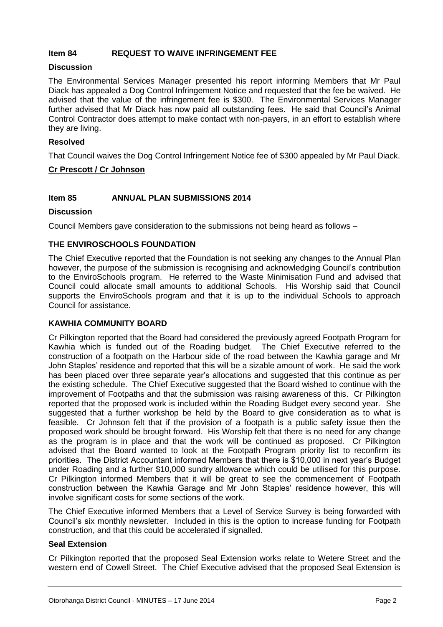#### **Item 84 REQUEST TO WAIVE INFRINGEMENT FEE**

#### **Discussion**

The Environmental Services Manager presented his report informing Members that Mr Paul Diack has appealed a Dog Control Infringement Notice and requested that the fee be waived. He advised that the value of the infringement fee is \$300. The Environmental Services Manager further advised that Mr Diack has now paid all outstanding fees. He said that Council's Animal Control Contractor does attempt to make contact with non-payers, in an effort to establish where they are living.

#### **Resolved**

That Council waives the Dog Control Infringement Notice fee of \$300 appealed by Mr Paul Diack.

#### **Cr Prescott / Cr Johnson**

#### **Item 85 ANNUAL PLAN SUBMISSIONS 2014**

#### **Discussion**

Council Members gave consideration to the submissions not being heard as follows –

#### **THE ENVIROSCHOOLS FOUNDATION**

The Chief Executive reported that the Foundation is not seeking any changes to the Annual Plan however, the purpose of the submission is recognising and acknowledging Council's contribution to the EnviroSchools program. He referred to the Waste Minimisation Fund and advised that Council could allocate small amounts to additional Schools. His Worship said that Council supports the EnviroSchools program and that it is up to the individual Schools to approach Council for assistance.

#### **KAWHIA COMMUNITY BOARD**

Cr Pilkington reported that the Board had considered the previously agreed Footpath Program for Kawhia which is funded out of the Roading budget. The Chief Executive referred to the construction of a footpath on the Harbour side of the road between the Kawhia garage and Mr John Staples' residence and reported that this will be a sizable amount of work. He said the work has been placed over three separate year's allocations and suggested that this continue as per the existing schedule. The Chief Executive suggested that the Board wished to continue with the improvement of Footpaths and that the submission was raising awareness of this. Cr Pilkington reported that the proposed work is included within the Roading Budget every second year. She suggested that a further workshop be held by the Board to give consideration as to what is feasible. Cr Johnson felt that if the provision of a footpath is a public safety issue then the proposed work should be brought forward. His Worship felt that there is no need for any change as the program is in place and that the work will be continued as proposed. Cr Pilkington advised that the Board wanted to look at the Footpath Program priority list to reconfirm its priorities. The District Accountant informed Members that there is \$10,000 in next year's Budget under Roading and a further \$10,000 sundry allowance which could be utilised for this purpose. Cr Pilkington informed Members that it will be great to see the commencement of Footpath construction between the Kawhia Garage and Mr John Staples' residence however, this will involve significant costs for some sections of the work.

The Chief Executive informed Members that a Level of Service Survey is being forwarded with Council's six monthly newsletter. Included in this is the option to increase funding for Footpath construction, and that this could be accelerated if signalled.

#### **Seal Extension**

Cr Pilkington reported that the proposed Seal Extension works relate to Wetere Street and the western end of Cowell Street. The Chief Executive advised that the proposed Seal Extension is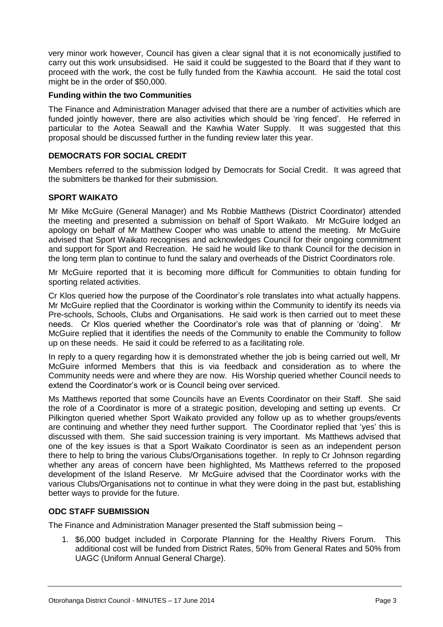very minor work however, Council has given a clear signal that it is not economically justified to carry out this work unsubsidised. He said it could be suggested to the Board that if they want to proceed with the work, the cost be fully funded from the Kawhia account. He said the total cost might be in the order of \$50,000.

#### **Funding within the two Communities**

The Finance and Administration Manager advised that there are a number of activities which are funded jointly however, there are also activities which should be 'ring fenced'. He referred in particular to the Aotea Seawall and the Kawhia Water Supply. It was suggested that this proposal should be discussed further in the funding review later this year.

#### **DEMOCRATS FOR SOCIAL CREDIT**

Members referred to the submission lodged by Democrats for Social Credit. It was agreed that the submitters be thanked for their submission.

#### **SPORT WAIKATO**

Mr Mike McGuire (General Manager) and Ms Robbie Matthews (District Coordinator) attended the meeting and presented a submission on behalf of Sport Waikato. Mr McGuire lodged an apology on behalf of Mr Matthew Cooper who was unable to attend the meeting. Mr McGuire advised that Sport Waikato recognises and acknowledges Council for their ongoing commitment and support for Sport and Recreation. He said he would like to thank Council for the decision in the long term plan to continue to fund the salary and overheads of the District Coordinators role.

Mr McGuire reported that it is becoming more difficult for Communities to obtain funding for sporting related activities.

Cr Klos queried how the purpose of the Coordinator's role translates into what actually happens. Mr McGuire replied that the Coordinator is working within the Community to identify its needs via Pre-schools, Schools, Clubs and Organisations. He said work is then carried out to meet these needs. Cr Klos queried whether the Coordinator's role was that of planning or 'doing'. Mr McGuire replied that it identifies the needs of the Community to enable the Community to follow up on these needs. He said it could be referred to as a facilitating role.

In reply to a query regarding how it is demonstrated whether the job is being carried out well, Mr McGuire informed Members that this is via feedback and consideration as to where the Community needs were and where they are now. His Worship queried whether Council needs to extend the Coordinator's work or is Council being over serviced.

Ms Matthews reported that some Councils have an Events Coordinator on their Staff. She said the role of a Coordinator is more of a strategic position, developing and setting up events. Cr Pilkington queried whether Sport Waikato provided any follow up as to whether groups/events are continuing and whether they need further support. The Coordinator replied that 'yes' this is discussed with them. She said succession training is very important. Ms Matthews advised that one of the key issues is that a Sport Waikato Coordinator is seen as an independent person there to help to bring the various Clubs/Organisations together. In reply to Cr Johnson regarding whether any areas of concern have been highlighted, Ms Matthews referred to the proposed development of the Island Reserve. Mr McGuire advised that the Coordinator works with the various Clubs/Organisations not to continue in what they were doing in the past but, establishing better ways to provide for the future.

#### **ODC STAFF SUBMISSION**

The Finance and Administration Manager presented the Staff submission being –

1. \$6,000 budget included in Corporate Planning for the Healthy Rivers Forum. This additional cost will be funded from District Rates, 50% from General Rates and 50% from UAGC (Uniform Annual General Charge).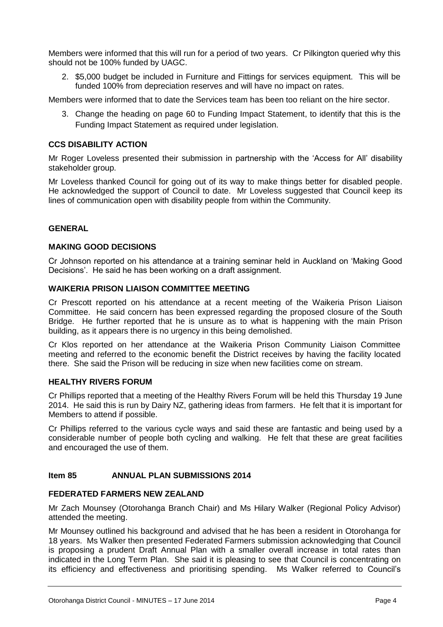Members were informed that this will run for a period of two years. Cr Pilkington queried why this should not be 100% funded by UAGC.

2. \$5,000 budget be included in Furniture and Fittings for services equipment. This will be funded 100% from depreciation reserves and will have no impact on rates.

Members were informed that to date the Services team has been too reliant on the hire sector.

3. Change the heading on page 60 to Funding Impact Statement, to identify that this is the Funding Impact Statement as required under legislation.

#### **CCS DISABILITY ACTION**

Mr Roger Loveless presented their submission in partnership with the 'Access for All' disability stakeholder group.

Mr Loveless thanked Council for going out of its way to make things better for disabled people. He acknowledged the support of Council to date. Mr Loveless suggested that Council keep its lines of communication open with disability people from within the Community.

#### **GENERAL**

#### **MAKING GOOD DECISIONS**

Cr Johnson reported on his attendance at a training seminar held in Auckland on 'Making Good Decisions'. He said he has been working on a draft assignment.

#### **WAIKERIA PRISON LIAISON COMMITTEE MEETING**

Cr Prescott reported on his attendance at a recent meeting of the Waikeria Prison Liaison Committee. He said concern has been expressed regarding the proposed closure of the South Bridge. He further reported that he is unsure as to what is happening with the main Prison building, as it appears there is no urgency in this being demolished.

Cr Klos reported on her attendance at the Waikeria Prison Community Liaison Committee meeting and referred to the economic benefit the District receives by having the facility located there. She said the Prison will be reducing in size when new facilities come on stream.

#### **HEALTHY RIVERS FORUM**

Cr Phillips reported that a meeting of the Healthy Rivers Forum will be held this Thursday 19 June 2014. He said this is run by Dairy NZ, gathering ideas from farmers. He felt that it is important for Members to attend if possible.

Cr Phillips referred to the various cycle ways and said these are fantastic and being used by a considerable number of people both cycling and walking. He felt that these are great facilities and encouraged the use of them.

#### **Item 85 ANNUAL PLAN SUBMISSIONS 2014**

#### **FEDERATED FARMERS NEW ZEALAND**

Mr Zach Mounsey (Otorohanga Branch Chair) and Ms Hilary Walker (Regional Policy Advisor) attended the meeting.

Mr Mounsey outlined his background and advised that he has been a resident in Otorohanga for 18 years. Ms Walker then presented Federated Farmers submission acknowledging that Council is proposing a prudent Draft Annual Plan with a smaller overall increase in total rates than indicated in the Long Term Plan. She said it is pleasing to see that Council is concentrating on its efficiency and effectiveness and prioritising spending. Ms Walker referred to Council's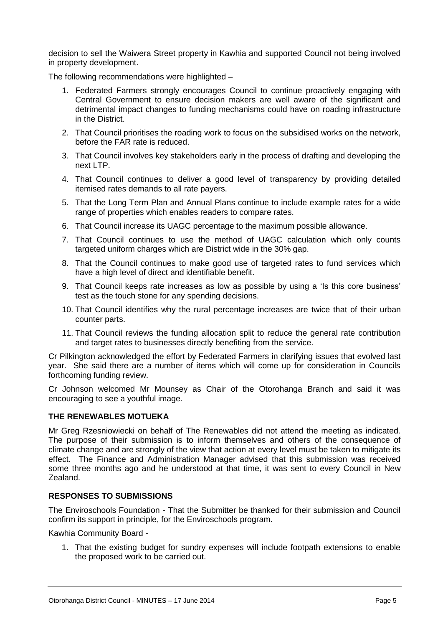decision to sell the Waiwera Street property in Kawhia and supported Council not being involved in property development.

The following recommendations were highlighted –

- 1. Federated Farmers strongly encourages Council to continue proactively engaging with Central Government to ensure decision makers are well aware of the significant and detrimental impact changes to funding mechanisms could have on roading infrastructure in the District.
- 2. That Council prioritises the roading work to focus on the subsidised works on the network, before the FAR rate is reduced.
- 3. That Council involves key stakeholders early in the process of drafting and developing the next LTP.
- 4. That Council continues to deliver a good level of transparency by providing detailed itemised rates demands to all rate payers.
- 5. That the Long Term Plan and Annual Plans continue to include example rates for a wide range of properties which enables readers to compare rates.
- 6. That Council increase its UAGC percentage to the maximum possible allowance.
- 7. That Council continues to use the method of UAGC calculation which only counts targeted uniform charges which are District wide in the 30% gap.
- 8. That the Council continues to make good use of targeted rates to fund services which have a high level of direct and identifiable benefit.
- 9. That Council keeps rate increases as low as possible by using a 'Is this core business' test as the touch stone for any spending decisions.
- 10. That Council identifies why the rural percentage increases are twice that of their urban counter parts.
- 11. That Council reviews the funding allocation split to reduce the general rate contribution and target rates to businesses directly benefiting from the service.

Cr Pilkington acknowledged the effort by Federated Farmers in clarifying issues that evolved last year. She said there are a number of items which will come up for consideration in Councils forthcoming funding review.

Cr Johnson welcomed Mr Mounsey as Chair of the Otorohanga Branch and said it was encouraging to see a youthful image.

#### **THE RENEWABLES MOTUEKA**

Mr Greg Rzesniowiecki on behalf of The Renewables did not attend the meeting as indicated. The purpose of their submission is to inform themselves and others of the consequence of climate change and are strongly of the view that action at every level must be taken to mitigate its effect. The Finance and Administration Manager advised that this submission was received some three months ago and he understood at that time, it was sent to every Council in New Zealand.

#### **RESPONSES TO SUBMISSIONS**

The Enviroschools Foundation - That the Submitter be thanked for their submission and Council confirm its support in principle, for the Enviroschools program.

Kawhia Community Board -

1. That the existing budget for sundry expenses will include footpath extensions to enable the proposed work to be carried out.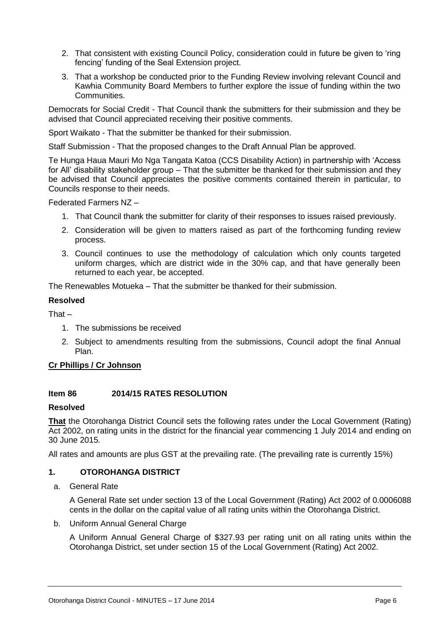- 2. That consistent with existing Council Policy, consideration could in future be given to 'ring fencing' funding of the Seal Extension project.
- 3. That a workshop be conducted prior to the Funding Review involving relevant Council and Kawhia Community Board Members to further explore the issue of funding within the two **Communities.**

Democrats for Social Credit - That Council thank the submitters for their submission and they be advised that Council appreciated receiving their positive comments.

Sport Waikato - That the submitter be thanked for their submission.

Staff Submission - That the proposed changes to the Draft Annual Plan be approved.

Te Hunga Haua Mauri Mo Nga Tangata Katoa (CCS Disability Action) in partnership with 'Access for All' disability stakeholder group – That the submitter be thanked for their submission and they be advised that Council appreciates the positive comments contained therein in particular, to Councils response to their needs.

Federated Farmers NZ –

- 1. That Council thank the submitter for clarity of their responses to issues raised previously.
- 2. Consideration will be given to matters raised as part of the forthcoming funding review process.
- 3. Council continues to use the methodology of calculation which only counts targeted uniform charges, which are district wide in the 30% cap, and that have generally been returned to each year, be accepted.

The Renewables Motueka – That the submitter be thanked for their submission.

#### **Resolved**

That –

- 1. The submissions be received
- 2. Subject to amendments resulting from the submissions, Council adopt the final Annual Plan.

#### **Cr Phillips / Cr Johnson**

#### **Item 86 2014/15 RATES RESOLUTION**

#### **Resolved**

**That** the Otorohanga District Council sets the following rates under the Local Government (Rating) Act 2002, on rating units in the district for the financial year commencing 1 July 2014 and ending on 30 June 2015.

All rates and amounts are plus GST at the prevailing rate. (The prevailing rate is currently 15%)

#### **1. OTOROHANGA DISTRICT**

a. General Rate

A General Rate set under section 13 of the Local Government (Rating) Act 2002 of 0.0006088 cents in the dollar on the capital value of all rating units within the Otorohanga District.

#### b. Uniform Annual General Charge

A Uniform Annual General Charge of \$327.93 per rating unit on all rating units within the Otorohanga District, set under section 15 of the Local Government (Rating) Act 2002.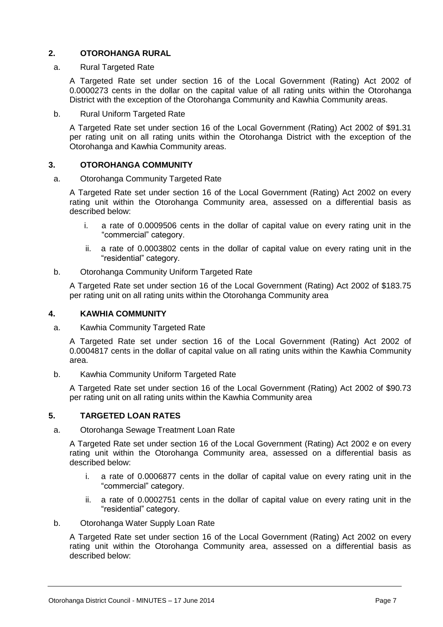#### **2. OTOROHANGA RURAL**

#### a. Rural Targeted Rate

A Targeted Rate set under section 16 of the Local Government (Rating) Act 2002 of 0.0000273 cents in the dollar on the capital value of all rating units within the Otorohanga District with the exception of the Otorohanga Community and Kawhia Community areas.

b. Rural Uniform Targeted Rate

A Targeted Rate set under section 16 of the Local Government (Rating) Act 2002 of \$91.31 per rating unit on all rating units within the Otorohanga District with the exception of the Otorohanga and Kawhia Community areas.

#### **3. OTOROHANGA COMMUNITY**

#### a. Otorohanga Community Targeted Rate

A Targeted Rate set under section 16 of the Local Government (Rating) Act 2002 on every rating unit within the Otorohanga Community area, assessed on a differential basis as described below:

- i. a rate of 0.0009506 cents in the dollar of capital value on every rating unit in the "commercial" category.
- ii. a rate of 0.0003802 cents in the dollar of capital value on every rating unit in the "residential" category.
- b. Otorohanga Community Uniform Targeted Rate

A Targeted Rate set under section 16 of the Local Government (Rating) Act 2002 of \$183.75 per rating unit on all rating units within the Otorohanga Community area

#### **4. KAWHIA COMMUNITY**

a. Kawhia Community Targeted Rate

A Targeted Rate set under section 16 of the Local Government (Rating) Act 2002 of 0.0004817 cents in the dollar of capital value on all rating units within the Kawhia Community area.

b. Kawhia Community Uniform Targeted Rate

A Targeted Rate set under section 16 of the Local Government (Rating) Act 2002 of \$90.73 per rating unit on all rating units within the Kawhia Community area

#### **5. TARGETED LOAN RATES**

a. Otorohanga Sewage Treatment Loan Rate

A Targeted Rate set under section 16 of the Local Government (Rating) Act 2002 e on every rating unit within the Otorohanga Community area, assessed on a differential basis as described below:

- i. a rate of 0.0006877 cents in the dollar of capital value on every rating unit in the "commercial" category.
- ii. a rate of 0.0002751 cents in the dollar of capital value on every rating unit in the "residential" category.
- b. Otorohanga Water Supply Loan Rate

A Targeted Rate set under section 16 of the Local Government (Rating) Act 2002 on every rating unit within the Otorohanga Community area, assessed on a differential basis as described below: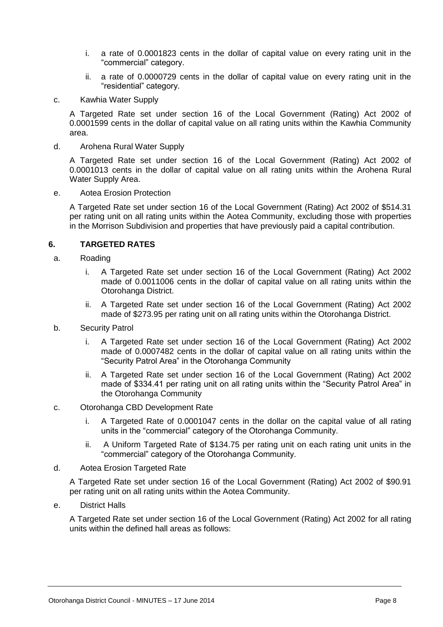- i. a rate of 0.0001823 cents in the dollar of capital value on every rating unit in the "commercial" category.
- ii. a rate of 0.0000729 cents in the dollar of capital value on every rating unit in the "residential" category.
- c. Kawhia Water Supply

A Targeted Rate set under section 16 of the Local Government (Rating) Act 2002 of 0.0001599 cents in the dollar of capital value on all rating units within the Kawhia Community area.

d. Arohena Rural Water Supply

A Targeted Rate set under section 16 of the Local Government (Rating) Act 2002 of 0.0001013 cents in the dollar of capital value on all rating units within the Arohena Rural Water Supply Area.

e. Aotea Erosion Protection

A Targeted Rate set under section 16 of the Local Government (Rating) Act 2002 of \$514.31 per rating unit on all rating units within the Aotea Community, excluding those with properties in the Morrison Subdivision and properties that have previously paid a capital contribution.

#### **6. TARGETED RATES**

- a. Roading
	- i. A Targeted Rate set under section 16 of the Local Government (Rating) Act 2002 made of 0.0011006 cents in the dollar of capital value on all rating units within the Otorohanga District.
	- ii. A Targeted Rate set under section 16 of the Local Government (Rating) Act 2002 made of \$273.95 per rating unit on all rating units within the Otorohanga District.
- b. Security Patrol
	- i. A Targeted Rate set under section 16 of the Local Government (Rating) Act 2002 made of 0.0007482 cents in the dollar of capital value on all rating units within the "Security Patrol Area" in the Otorohanga Community
	- ii. A Targeted Rate set under section 16 of the Local Government (Rating) Act 2002 made of \$334.41 per rating unit on all rating units within the "Security Patrol Area" in the Otorohanga Community
- c. Otorohanga CBD Development Rate
	- i. A Targeted Rate of 0.0001047 cents in the dollar on the capital value of all rating units in the "commercial" category of the Otorohanga Community.
	- ii. A Uniform Targeted Rate of \$134.75 per rating unit on each rating unit units in the "commercial" category of the Otorohanga Community.
- d. Aotea Erosion Targeted Rate

A Targeted Rate set under section 16 of the Local Government (Rating) Act 2002 of \$90.91 per rating unit on all rating units within the Aotea Community.

e. District Halls

A Targeted Rate set under section 16 of the Local Government (Rating) Act 2002 for all rating units within the defined hall areas as follows: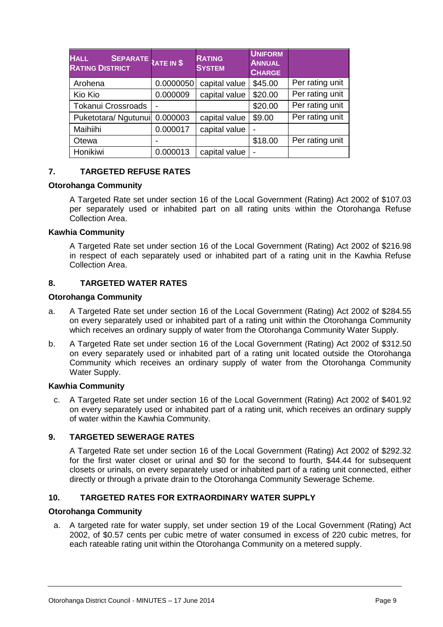| <b>HALL</b><br>SEPARATE RATE IN \$<br><b>RATING DISTRICT</b> |           | <b>RATING</b><br><b>SYSTEM</b> | <b>UNIFORM</b><br><b>ANNUAL</b><br><b>CHARGE</b> |                 |
|--------------------------------------------------------------|-----------|--------------------------------|--------------------------------------------------|-----------------|
| Arohena                                                      | 0.0000050 | capital value                  | \$45.00                                          | Per rating unit |
| Kio Kio                                                      | 0.000009  | capital value                  | \$20.00                                          | Per rating unit |
| <b>Tokanui Crossroads</b>                                    |           |                                | \$20.00                                          | Per rating unit |
| Puketotara/ Ngutunui                                         | 0.000003  | capital value                  | \$9.00                                           | Per rating unit |
| Maihiihi                                                     | 0.000017  | capital value                  |                                                  |                 |
| Otewa                                                        |           |                                | \$18.00                                          | Per rating unit |
| Honikiwi                                                     | 0.000013  | capital value                  |                                                  |                 |

#### **7. TARGETED REFUSE RATES**

#### **Otorohanga Community**

A Targeted Rate set under section 16 of the Local Government (Rating) Act 2002 of \$107.03 per separately used or inhabited part on all rating units within the Otorohanga Refuse Collection Area.

#### **Kawhia Community**

A Targeted Rate set under section 16 of the Local Government (Rating) Act 2002 of \$216.98 in respect of each separately used or inhabited part of a rating unit in the Kawhia Refuse Collection Area.

#### **8. TARGETED WATER RATES**

#### **Otorohanga Community**

- a. A Targeted Rate set under section 16 of the Local Government (Rating) Act 2002 of \$284.55 on every separately used or inhabited part of a rating unit within the Otorohanga Community which receives an ordinary supply of water from the Otorohanga Community Water Supply.
- b. A Targeted Rate set under section 16 of the Local Government (Rating) Act 2002 of \$312.50 on every separately used or inhabited part of a rating unit located outside the Otorohanga Community which receives an ordinary supply of water from the Otorohanga Community Water Supply.

#### **Kawhia Community**

c. A Targeted Rate set under section 16 of the Local Government (Rating) Act 2002 of \$401.92 on every separately used or inhabited part of a rating unit, which receives an ordinary supply of water within the Kawhia Community.

#### **9. TARGETED SEWERAGE RATES**

A Targeted Rate set under section 16 of the Local Government (Rating) Act 2002 of \$292.32 for the first water closet or urinal and \$0 for the second to fourth, \$44.44 for subsequent closets or urinals, on every separately used or inhabited part of a rating unit connected, either directly or through a private drain to the Otorohanga Community Sewerage Scheme.

#### **10. TARGETED RATES FOR EXTRAORDINARY WATER SUPPLY**

#### **Otorohanga Community**

a. A targeted rate for water supply, set under section 19 of the Local Government (Rating) Act 2002, of \$0.57 cents per cubic metre of water consumed in excess of 220 cubic metres, for each rateable rating unit within the Otorohanga Community on a metered supply.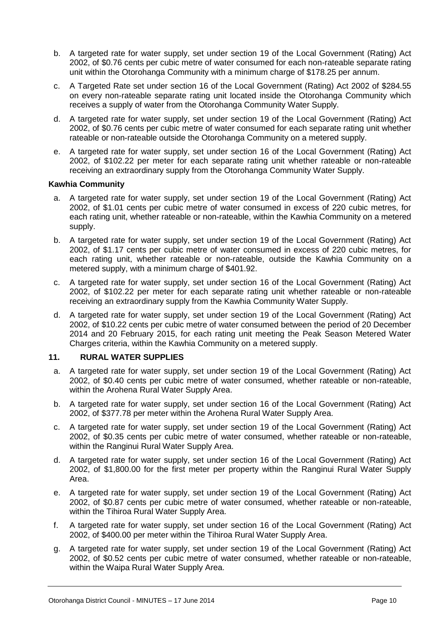- b. A targeted rate for water supply, set under section 19 of the Local Government (Rating) Act 2002, of \$0.76 cents per cubic metre of water consumed for each non-rateable separate rating unit within the Otorohanga Community with a minimum charge of \$178.25 per annum.
- c. A Targeted Rate set under section 16 of the Local Government (Rating) Act 2002 of \$284.55 on every non-rateable separate rating unit located inside the Otorohanga Community which receives a supply of water from the Otorohanga Community Water Supply.
- d. A targeted rate for water supply, set under section 19 of the Local Government (Rating) Act 2002, of \$0.76 cents per cubic metre of water consumed for each separate rating unit whether rateable or non-rateable outside the Otorohanga Community on a metered supply.
- e. A targeted rate for water supply, set under section 16 of the Local Government (Rating) Act 2002, of \$102.22 per meter for each separate rating unit whether rateable or non-rateable receiving an extraordinary supply from the Otorohanga Community Water Supply.

#### **Kawhia Community**

- a. A targeted rate for water supply, set under section 19 of the Local Government (Rating) Act 2002, of \$1.01 cents per cubic metre of water consumed in excess of 220 cubic metres, for each rating unit, whether rateable or non-rateable, within the Kawhia Community on a metered supply.
- b. A targeted rate for water supply, set under section 19 of the Local Government (Rating) Act 2002, of \$1.17 cents per cubic metre of water consumed in excess of 220 cubic metres, for each rating unit, whether rateable or non-rateable, outside the Kawhia Community on a metered supply, with a minimum charge of \$401.92.
- c. A targeted rate for water supply, set under section 16 of the Local Government (Rating) Act 2002, of \$102.22 per meter for each separate rating unit whether rateable or non-rateable receiving an extraordinary supply from the Kawhia Community Water Supply.
- d. A targeted rate for water supply, set under section 19 of the Local Government (Rating) Act 2002, of \$10.22 cents per cubic metre of water consumed between the period of 20 December 2014 and 20 February 2015, for each rating unit meeting the Peak Season Metered Water Charges criteria, within the Kawhia Community on a metered supply.

#### **11. RURAL WATER SUPPLIES**

- a. A targeted rate for water supply, set under section 19 of the Local Government (Rating) Act 2002, of \$0.40 cents per cubic metre of water consumed, whether rateable or non-rateable, within the Arohena Rural Water Supply Area.
- b. A targeted rate for water supply, set under section 16 of the Local Government (Rating) Act 2002, of \$377.78 per meter within the Arohena Rural Water Supply Area.
- c. A targeted rate for water supply, set under section 19 of the Local Government (Rating) Act 2002, of \$0.35 cents per cubic metre of water consumed, whether rateable or non-rateable, within the Ranginui Rural Water Supply Area.
- d. A targeted rate for water supply, set under section 16 of the Local Government (Rating) Act 2002, of \$1,800.00 for the first meter per property within the Ranginui Rural Water Supply Area.
- e. A targeted rate for water supply, set under section 19 of the Local Government (Rating) Act 2002, of \$0.87 cents per cubic metre of water consumed, whether rateable or non-rateable, within the Tihiroa Rural Water Supply Area.
- f. A targeted rate for water supply, set under section 16 of the Local Government (Rating) Act 2002, of \$400.00 per meter within the Tihiroa Rural Water Supply Area.
- g. A targeted rate for water supply, set under section 19 of the Local Government (Rating) Act 2002, of \$0.52 cents per cubic metre of water consumed, whether rateable or non-rateable, within the Waipa Rural Water Supply Area.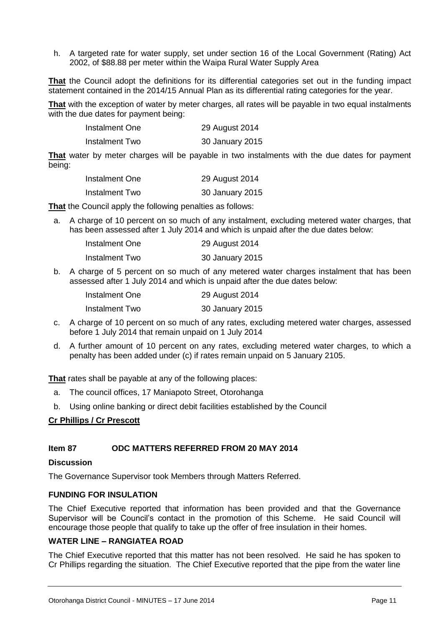h. A targeted rate for water supply, set under section 16 of the Local Government (Rating) Act 2002, of \$88.88 per meter within the Waipa Rural Water Supply Area

**That** the Council adopt the definitions for its differential categories set out in the funding impact statement contained in the 2014/15 Annual Plan as its differential rating categories for the year.

**That** with the exception of water by meter charges, all rates will be payable in two equal instalments with the due dates for payment being:

| Instalment One | 29 August 2014  |
|----------------|-----------------|
| Instalment Two | 30 January 2015 |

**That** water by meter charges will be payable in two instalments with the due dates for payment being:

| Instalment One | 29 August 2014  |
|----------------|-----------------|
| Instalment Two | 30 January 2015 |

**That** the Council apply the following penalties as follows:

a. A charge of 10 percent on so much of any instalment, excluding metered water charges, that has been assessed after 1 July 2014 and which is unpaid after the due dates below:

| Instalment One | 29 August 2014  |
|----------------|-----------------|
| Instalment Two | 30 January 2015 |

b. A charge of 5 percent on so much of any metered water charges instalment that has been assessed after 1 July 2014 and which is unpaid after the due dates below:

| Instalment One | 29 August 2014  |
|----------------|-----------------|
| Instalment Two | 30 January 2015 |

- c. A charge of 10 percent on so much of any rates, excluding metered water charges, assessed before 1 July 2014 that remain unpaid on 1 July 2014
- d. A further amount of 10 percent on any rates, excluding metered water charges, to which a penalty has been added under (c) if rates remain unpaid on 5 January 2105.

**That** rates shall be payable at any of the following places:

- a. The council offices, 17 Maniapoto Street, Otorohanga
- b. Using online banking or direct debit facilities established by the Council

#### **Cr Phillips / Cr Prescott**

#### **Item 87 ODC MATTERS REFERRED FROM 20 MAY 2014**

#### **Discussion**

The Governance Supervisor took Members through Matters Referred.

#### **FUNDING FOR INSULATION**

The Chief Executive reported that information has been provided and that the Governance Supervisor will be Council's contact in the promotion of this Scheme. He said Council will encourage those people that qualify to take up the offer of free insulation in their homes.

#### **WATER LINE – RANGIATEA ROAD**

The Chief Executive reported that this matter has not been resolved. He said he has spoken to Cr Phillips regarding the situation. The Chief Executive reported that the pipe from the water line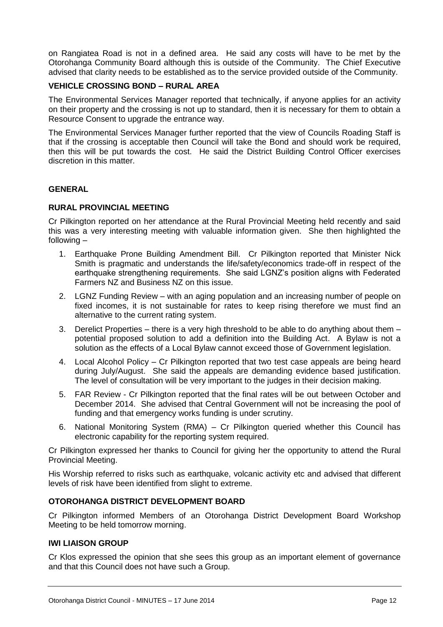on Rangiatea Road is not in a defined area. He said any costs will have to be met by the Otorohanga Community Board although this is outside of the Community. The Chief Executive advised that clarity needs to be established as to the service provided outside of the Community.

#### **VEHICLE CROSSING BOND – RURAL AREA**

The Environmental Services Manager reported that technically, if anyone applies for an activity on their property and the crossing is not up to standard, then it is necessary for them to obtain a Resource Consent to upgrade the entrance way.

The Environmental Services Manager further reported that the view of Councils Roading Staff is that if the crossing is acceptable then Council will take the Bond and should work be required, then this will be put towards the cost. He said the District Building Control Officer exercises discretion in this matter.

#### **GENERAL**

#### **RURAL PROVINCIAL MEETING**

Cr Pilkington reported on her attendance at the Rural Provincial Meeting held recently and said this was a very interesting meeting with valuable information given. She then highlighted the following –

- 1. Earthquake Prone Building Amendment Bill. Cr Pilkington reported that Minister Nick Smith is pragmatic and understands the life/safety/economics trade-off in respect of the earthquake strengthening requirements. She said LGNZ's position aligns with Federated Farmers NZ and Business NZ on this issue.
- 2. LGNZ Funding Review with an aging population and an increasing number of people on fixed incomes, it is not sustainable for rates to keep rising therefore we must find an alternative to the current rating system.
- 3. Derelict Properties there is a very high threshold to be able to do anything about them potential proposed solution to add a definition into the Building Act. A Bylaw is not a solution as the effects of a Local Bylaw cannot exceed those of Government legislation.
- 4. Local Alcohol Policy Cr Pilkington reported that two test case appeals are being heard during July/August. She said the appeals are demanding evidence based justification. The level of consultation will be very important to the judges in their decision making.
- 5. FAR Review Cr Pilkington reported that the final rates will be out between October and December 2014. She advised that Central Government will not be increasing the pool of funding and that emergency works funding is under scrutiny.
- 6. National Monitoring System (RMA) Cr Pilkington queried whether this Council has electronic capability for the reporting system required.

Cr Pilkington expressed her thanks to Council for giving her the opportunity to attend the Rural Provincial Meeting.

His Worship referred to risks such as earthquake, volcanic activity etc and advised that different levels of risk have been identified from slight to extreme.

#### **OTOROHANGA DISTRICT DEVELOPMENT BOARD**

Cr Pilkington informed Members of an Otorohanga District Development Board Workshop Meeting to be held tomorrow morning.

#### **IWI LIAISON GROUP**

Cr Klos expressed the opinion that she sees this group as an important element of governance and that this Council does not have such a Group.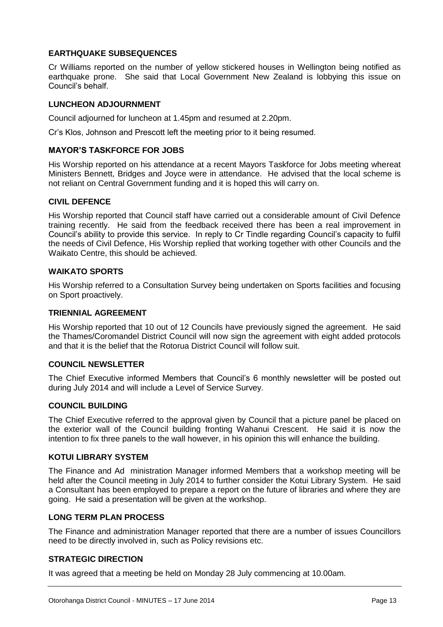#### **EARTHQUAKE SUBSEQUENCES**

Cr Williams reported on the number of yellow stickered houses in Wellington being notified as earthquake prone. She said that Local Government New Zealand is lobbying this issue on Council's behalf.

#### **LUNCHEON ADJOURNMENT**

Council adjourned for luncheon at 1.45pm and resumed at 2.20pm.

Cr's Klos, Johnson and Prescott left the meeting prior to it being resumed.

#### **MAYOR'S TASKFORCE FOR JOBS**

His Worship reported on his attendance at a recent Mayors Taskforce for Jobs meeting whereat Ministers Bennett, Bridges and Joyce were in attendance. He advised that the local scheme is not reliant on Central Government funding and it is hoped this will carry on.

#### **CIVIL DEFENCE**

His Worship reported that Council staff have carried out a considerable amount of Civil Defence training recently. He said from the feedback received there has been a real improvement in Council's ability to provide this service. In reply to Cr Tindle regarding Council's capacity to fulfil the needs of Civil Defence, His Worship replied that working together with other Councils and the Waikato Centre, this should be achieved.

#### **WAIKATO SPORTS**

His Worship referred to a Consultation Survey being undertaken on Sports facilities and focusing on Sport proactively.

#### **TRIENNIAL AGREEMENT**

His Worship reported that 10 out of 12 Councils have previously signed the agreement. He said the Thames/Coromandel District Council will now sign the agreement with eight added protocols and that it is the belief that the Rotorua District Council will follow suit.

#### **COUNCIL NEWSLETTER**

The Chief Executive informed Members that Council's 6 monthly newsletter will be posted out during July 2014 and will include a Level of Service Survey.

#### **COUNCIL BUILDING**

The Chief Executive referred to the approval given by Council that a picture panel be placed on the exterior wall of the Council building fronting Wahanui Crescent. He said it is now the intention to fix three panels to the wall however, in his opinion this will enhance the building.

#### **KOTUI LIBRARY SYSTEM**

The Finance and Ad ministration Manager informed Members that a workshop meeting will be held after the Council meeting in July 2014 to further consider the Kotui Library System. He said a Consultant has been employed to prepare a report on the future of libraries and where they are going. He said a presentation will be given at the workshop.

#### **LONG TERM PLAN PROCESS**

The Finance and administration Manager reported that there are a number of issues Councillors need to be directly involved in, such as Policy revisions etc.

#### **STRATEGIC DIRECTION**

It was agreed that a meeting be held on Monday 28 July commencing at 10.00am.